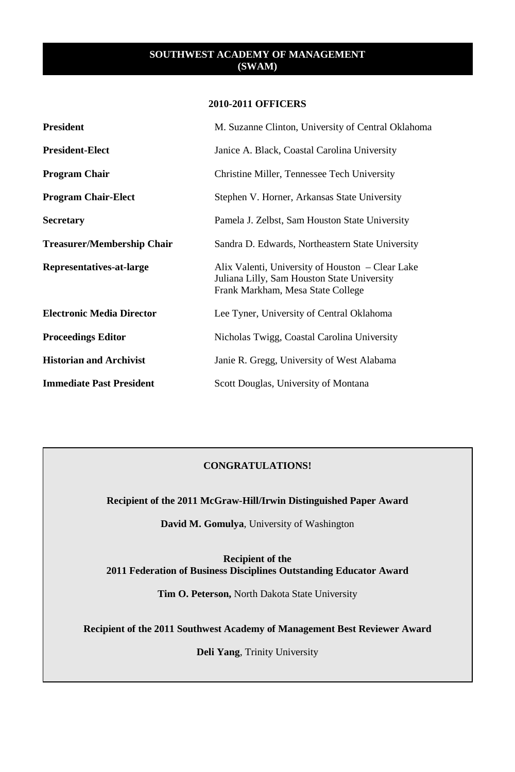## **2010-2011 OFFICERS**

| <b>President</b>                  | M. Suzanne Clinton, University of Central Oklahoma                                                                                   |
|-----------------------------------|--------------------------------------------------------------------------------------------------------------------------------------|
| <b>President-Elect</b>            | Janice A. Black, Coastal Carolina University                                                                                         |
| <b>Program Chair</b>              | Christine Miller, Tennessee Tech University                                                                                          |
| <b>Program Chair-Elect</b>        | Stephen V. Horner, Arkansas State University                                                                                         |
| <b>Secretary</b>                  | Pamela J. Zelbst, Sam Houston State University                                                                                       |
| <b>Treasurer/Membership Chair</b> | Sandra D. Edwards, Northeastern State University                                                                                     |
| Representatives-at-large          | Alix Valenti, University of Houston – Clear Lake<br>Juliana Lilly, Sam Houston State University<br>Frank Markham, Mesa State College |
| <b>Electronic Media Director</b>  | Lee Tyner, University of Central Oklahoma                                                                                            |
| <b>Proceedings Editor</b>         | Nicholas Twigg, Coastal Carolina University                                                                                          |
| <b>Historian and Archivist</b>    | Janie R. Gregg, University of West Alabama                                                                                           |
| <b>Immediate Past President</b>   | Scott Douglas, University of Montana                                                                                                 |

# **CONGRATULATIONS!**

**Recipient of the 2011 McGraw-Hill/Irwin Distinguished Paper Award**

**David M. Gomulya**, University of Washington

**Recipient of the 2011 Federation of Business Disciplines Outstanding Educator Award** 

**Tim O. Peterson,** North Dakota State University

**Recipient of the 2011 Southwest Academy of Management Best Reviewer Award**

**Deli Yang**, Trinity University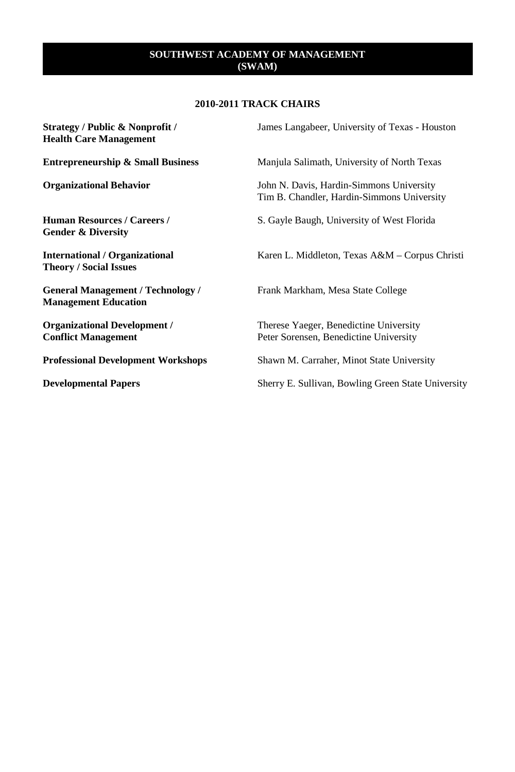## **2010-2011 TRACK CHAIRS**

| Strategy / Public & Nonprofit /<br><b>Health Care Management</b>        | James Langabeer, University of Texas - Houston                                         |
|-------------------------------------------------------------------------|----------------------------------------------------------------------------------------|
| <b>Entrepreneurship &amp; Small Business</b>                            | Manjula Salimath, University of North Texas                                            |
| <b>Organizational Behavior</b>                                          | John N. Davis, Hardin-Simmons University<br>Tim B. Chandler, Hardin-Simmons University |
| <b>Human Resources / Careers /</b><br><b>Gender &amp; Diversity</b>     | S. Gayle Baugh, University of West Florida                                             |
| <b>International / Organizational</b><br><b>Theory / Social Issues</b>  | Karen L. Middleton, Texas A&M – Corpus Christi                                         |
| <b>General Management / Technology /</b><br><b>Management Education</b> | Frank Markham, Mesa State College                                                      |
| <b>Organizational Development /</b><br><b>Conflict Management</b>       | Therese Yaeger, Benedictine University<br>Peter Sorensen, Benedictine University       |
| <b>Professional Development Workshops</b>                               | Shawn M. Carraher, Minot State University                                              |
| <b>Developmental Papers</b>                                             | Sherry E. Sullivan, Bowling Green State University                                     |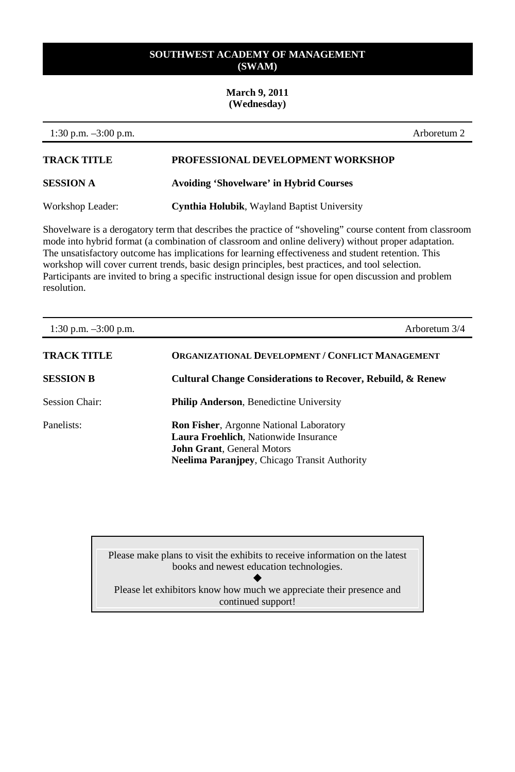## **March 9, 2011 (Wednesday)**

| 1:30 p.m. $-3:00$ p.m. |                                                    | Arboretum 2 |
|------------------------|----------------------------------------------------|-------------|
| <b>TRACK TITLE</b>     | PROFESSIONAL DEVELOPMENT WORKSHOP                  |             |
| <b>SESSION A</b>       | <b>Avoiding 'Shovelware' in Hybrid Courses</b>     |             |
| Workshop Leader:       | <b>Cynthia Holubik, Wayland Baptist University</b> |             |
|                        |                                                    |             |

Shovelware is a derogatory term that describes the practice of "shoveling" course content from classroom mode into hybrid format (a combination of classroom and online delivery) without proper adaptation. The unsatisfactory outcome has implications for learning effectiveness and student retention. This workshop will cover current trends, basic design principles, best practices, and tool selection. Participants are invited to bring a specific instructional design issue for open discussion and problem resolution.

| 1:30 p.m. $-3:00$ p.m. | Arboretum 3/4                                                                                                                                                                       |
|------------------------|-------------------------------------------------------------------------------------------------------------------------------------------------------------------------------------|
| TRACK TITLE            | <b>ORGANIZATIONAL DEVELOPMENT / CONFLICT MANAGEMENT</b>                                                                                                                             |
| <b>SESSION B</b>       | <b>Cultural Change Considerations to Recover, Rebuild, &amp; Renew</b>                                                                                                              |
| <b>Session Chair:</b>  | <b>Philip Anderson, Benedictine University</b>                                                                                                                                      |
| Panelists:             | <b>Ron Fisher, Argonne National Laboratory</b><br>Laura Froehlich, Nationwide Insurance<br><b>John Grant, General Motors</b><br><b>Neelima Paranjpey, Chicago Transit Authority</b> |

Please make plans to visit the exhibits to receive information on the latest books and newest education technologies.  $\blacklozenge$ Please let exhibitors know how much we appreciate their presence and continued support!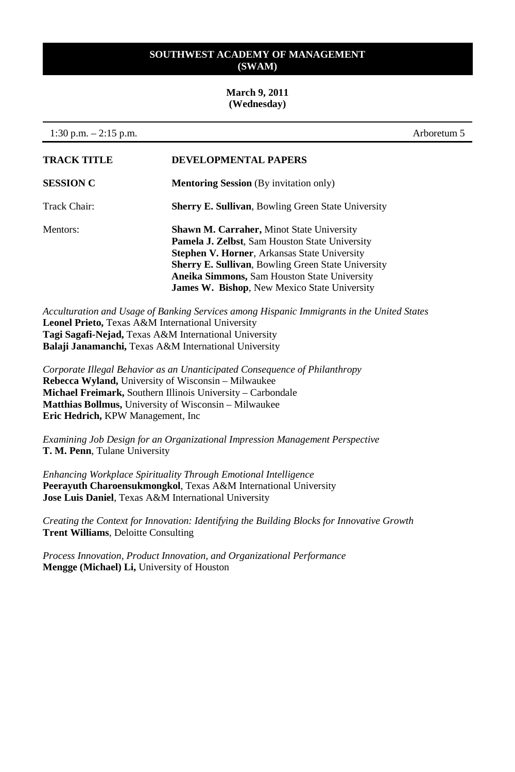#### **March 9, 2011 (Wednesday)**

| 1:30 p.m. $-2:15$ p.m. |                                                                                                                                                                                                                                                                                                                                             | Arboretum 5 |
|------------------------|---------------------------------------------------------------------------------------------------------------------------------------------------------------------------------------------------------------------------------------------------------------------------------------------------------------------------------------------|-------------|
| <b>TRACK TITLE</b>     | <b>DEVELOPMENTAL PAPERS</b>                                                                                                                                                                                                                                                                                                                 |             |
| <b>SESSION C</b>       | <b>Mentoring Session</b> (By invitation only)                                                                                                                                                                                                                                                                                               |             |
| Track Chair:           | <b>Sherry E. Sullivan, Bowling Green State University</b>                                                                                                                                                                                                                                                                                   |             |
| Mentors:               | <b>Shawn M. Carraher, Minot State University</b><br><b>Pamela J. Zelbst, Sam Houston State University</b><br><b>Stephen V. Horner, Arkansas State University</b><br><b>Sherry E. Sullivan, Bowling Green State University</b><br><b>Aneika Simmons, Sam Houston State University</b><br><b>James W. Bishop, New Mexico State University</b> |             |

*Acculturation and Usage of Banking Services among Hispanic Immigrants in the United States* **Leonel Prieto,** Texas A&M International University **Tagi Sagafi-Nejad,** Texas A&M International University **Balaji Janamanchi,** Texas A&M International University

*Corporate Illegal Behavior as an Unanticipated Consequence of Philanthropy*  **Rebecca Wyland,** University of Wisconsin – Milwaukee **Michael Freimark,** Southern Illinois University – Carbondale **Matthias Bollmus,** University of Wisconsin – Milwaukee **Eric Hedrich,** KPW Management, Inc

*Examining Job Design for an Organizational Impression Management Perspective* **T. M. Penn**, Tulane University

*Enhancing Workplace Spirituality Through Emotional Intelligence*  **Peerayuth Charoensukmongkol**, Texas A&M International University **Jose Luis Daniel**, Texas A&M International University

*Creating the Context for Innovation: Identifying the Building Blocks for Innovative Growth* **Trent Williams**, Deloitte Consulting

*Process Innovation, Product Innovation, and Organizational Performance* **Mengge (Michael) Li,** University of Houston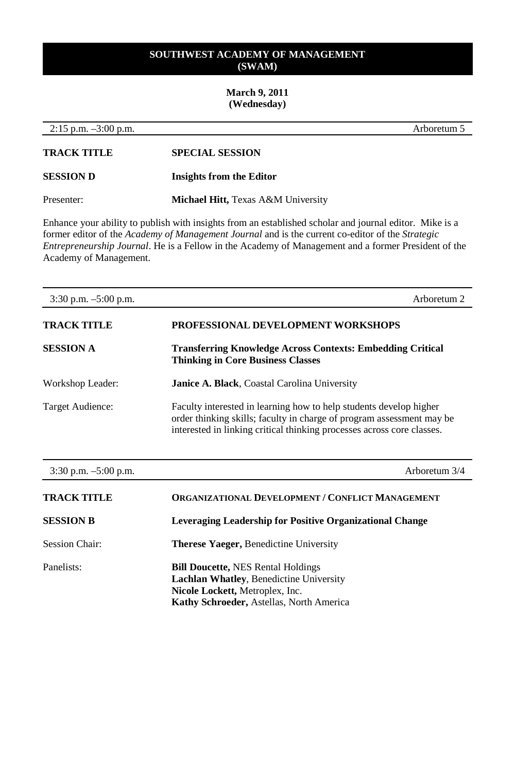# **March 9, 2011 (Wednesday)**

| $2:15$ p.m. $-3:00$ p.m. | Arboretum 5                                                                                                                                                                                                                                                                                                               |
|--------------------------|---------------------------------------------------------------------------------------------------------------------------------------------------------------------------------------------------------------------------------------------------------------------------------------------------------------------------|
| <b>TRACK TITLE</b>       | <b>SPECIAL SESSION</b>                                                                                                                                                                                                                                                                                                    |
| <b>SESSION D</b>         | <b>Insights from the Editor</b>                                                                                                                                                                                                                                                                                           |
| Presenter:               | Michael Hitt, Texas A&M University                                                                                                                                                                                                                                                                                        |
| Academy of Management.   | Enhance your ability to publish with insights from an established scholar and journal editor. Mike is a<br>former editor of the Academy of Management Journal and is the current co-editor of the Strategic<br><i>Entrepreneurship Journal.</i> He is a Fellow in the Academy of Management and a former President of the |
| $3:30$ p.m. $-5:00$ p.m. | Arboretum <sub>2</sub>                                                                                                                                                                                                                                                                                                    |
| <b>TRACK TITLE</b>       | PROFESSIONAL DEVELOPMENT WORKSHOPS                                                                                                                                                                                                                                                                                        |
| <b>SESSION A</b>         | <b>Transferring Knowledge Across Contexts: Embedding Critical</b><br><b>Thinking in Core Business Classes</b>                                                                                                                                                                                                             |
| Workshop Leader:         | Janice A. Black, Coastal Carolina University                                                                                                                                                                                                                                                                              |
| Target Audience:         | Faculty interested in learning how to help students develop higher<br>order thinking skills; faculty in charge of program assessment may be<br>interested in linking critical thinking processes across core classes.                                                                                                     |

| $3:30$ p.m. $-5:00$ p.m. | Arboretum 3/4                                                                                                                                                              |
|--------------------------|----------------------------------------------------------------------------------------------------------------------------------------------------------------------------|
| <b>TRACK TITLE</b>       | <b>ORGANIZATIONAL DEVELOPMENT / CONFLICT MANAGEMENT</b>                                                                                                                    |
| <b>SESSION B</b>         | Leveraging Leadership for Positive Organizational Change                                                                                                                   |
| <b>Session Chair:</b>    | <b>Therese Yaeger, Benedictine University</b>                                                                                                                              |
| Panelists:               | <b>Bill Doucette, NES Rental Holdings</b><br><b>Lachlan Whatley, Benedictine University</b><br>Nicole Lockett, Metroplex, Inc.<br>Kathy Schroeder, Astellas, North America |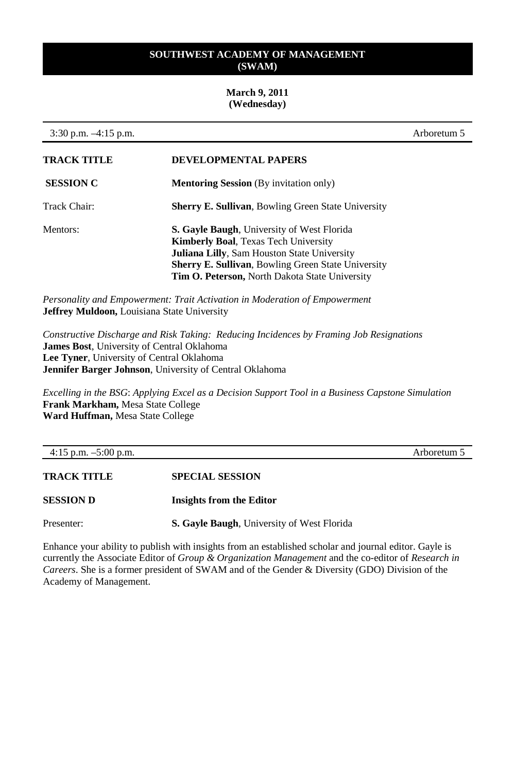#### **March 9, 2011 (Wednesday)**

| $3:30$ p.m. $-4:15$ p.m. |                                                                                                                                                                                                                                                                       | Arboretum 5 |
|--------------------------|-----------------------------------------------------------------------------------------------------------------------------------------------------------------------------------------------------------------------------------------------------------------------|-------------|
| <b>TRACK TITLE</b>       | DEVELOPMENTAL PAPERS                                                                                                                                                                                                                                                  |             |
| <b>SESSION C</b>         | <b>Mentoring Session</b> (By invitation only)                                                                                                                                                                                                                         |             |
| Track Chair:             | <b>Sherry E. Sullivan, Bowling Green State University</b>                                                                                                                                                                                                             |             |
| Mentors:                 | <b>S. Gavle Baugh, University of West Florida</b><br><b>Kimberly Boal, Texas Tech University</b><br><b>Juliana Lilly, Sam Houston State University</b><br><b>Sherry E. Sullivan, Bowling Green State University</b><br>Tim O. Peterson, North Dakota State University |             |

*Personality and Empowerment: Trait Activation in Moderation of Empowerment* **Jeffrey Muldoon,** Louisiana State University

*Constructive Discharge and Risk Taking: Reducing Incidences by Framing Job Resignations*  **James Bost**, University of Central Oklahoma **Lee Tyner**, University of Central Oklahoma **Jennifer Barger Johnson**, University of Central Oklahoma

*Excelling in the BSG*: *Applying Excel as a Decision Support Tool in a Business Capstone Simulation* **Frank Markham,** Mesa State College **Ward Huffman,** Mesa State College

| 4:15 p.m. $-5:00$ p.m. |                                            | Arboretum 5 |
|------------------------|--------------------------------------------|-------------|
| <b>TRACK TITLE</b>     | <b>SPECIAL SESSION</b>                     |             |
|                        |                                            |             |
| <b>SESSION D</b>       | Insights from the Editor                   |             |
| Presenter:             | S. Gayle Baugh, University of West Florida |             |

Enhance your ability to publish with insights from an established scholar and journal editor. Gayle is currently the Associate Editor of *Group & Organization Management* and the co-editor of *Research in Careers*. She is a former president of SWAM and of the Gender & Diversity (GDO) Division of the Academy of Management.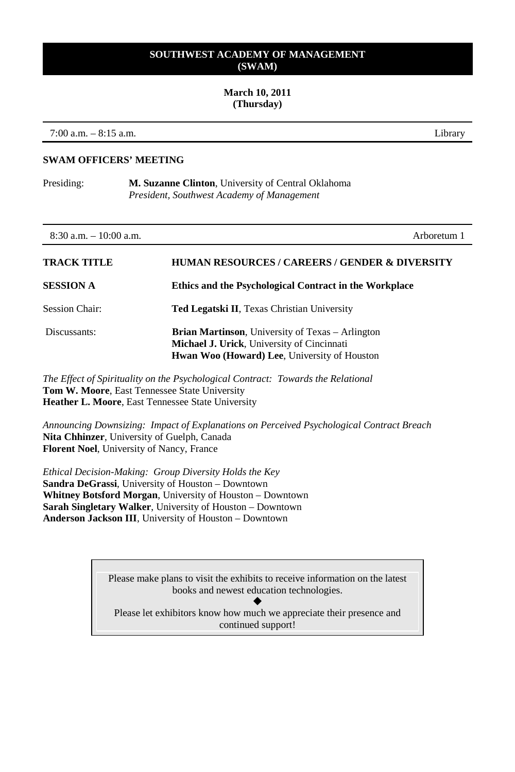#### **March 10, 2011 (Thursday)**

7:00 a.m. – 8:15 a.m. Library

**SWAM OFFICERS' MEETING**

Presiding: **M. Suzanne Clinton**, University of Central Oklahoma *President, Southwest Academy of Management*

| $8:30$ a.m. $-10:00$ a.m. | Arboretum 1                                                                                                                                                   |
|---------------------------|---------------------------------------------------------------------------------------------------------------------------------------------------------------|
| <b>TRACK TITLE</b>        | <b>HUMAN RESOURCES / CAREERS / GENDER &amp; DIVERSITY</b>                                                                                                     |
| <b>SESSION A</b>          | Ethics and the Psychological Contract in the Workplace                                                                                                        |
| Session Chair:            | <b>Ted Legatski II.</b> Texas Christian University                                                                                                            |
| Discussants:              | <b>Brian Martinson</b> , University of Texas – Arlington<br>Michael J. Urick, University of Cincinnati<br><b>Hwan Woo (Howard) Lee, University of Houston</b> |
|                           | $\overline{a}$                                                                                                                                                |

*The Effect of Spirituality on the Psychological Contract: Towards the Relational* **Tom W. Moore**, East Tennessee State University **Heather L. Moore**, East Tennessee State University

*Announcing Downsizing: Impact of Explanations on Perceived Psychological Contract Breach* **Nita Chhinzer**, University of Guelph, Canada **Florent Noel**, University of Nancy, France

*Ethical Decision-Making: Group Diversity Holds the Key* **Sandra DeGrassi**, University of Houston – Downtown **Whitney Botsford Morgan**, University of Houston – Downtown **Sarah Singletary Walker**, University of Houston – Downtown **Anderson Jackson III**, University of Houston – Downtown

> Please make plans to visit the exhibits to receive information on the latest books and newest education technologies.

 $\blacklozenge$ Please let exhibitors know how much we appreciate their presence and continued support!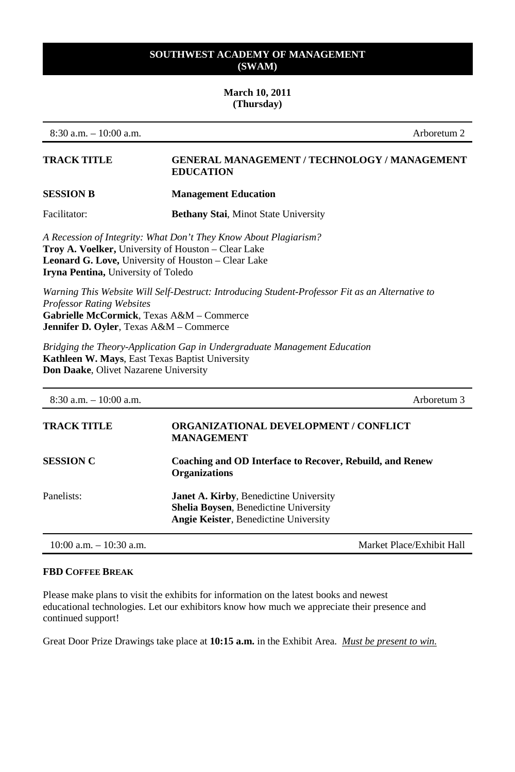#### **March 10, 2011 (Thursday)**

8:30 a.m. – 10:00 a.m. Arboretum 2

#### **TRACK TITLE GENERAL MANAGEMENT / TECHNOLOGY / MANAGEMENT EDUCATION**

#### **SESSION B Management Education**

Facilitator: **Bethany Stai**, Minot State University

*A Recession of Integrity: What Don't They Know About Plagiarism?*  **Troy A. Voelker,** University of Houston – Clear Lake **Leonard G. Love,** University of Houston – Clear Lake **Iryna Pentina,** University of Toledo

*Warning This Website Will Self-Destruct: Introducing Student-Professor Fit as an Alternative to Professor Rating Websites* **Gabrielle McCormick**, Texas A&M – Commerce **Jennifer D. Oyler**, Texas A&M – Commerce

*Bridging the Theory-Application Gap in Undergraduate Management Education*  **Kathleen W. Mays**, East Texas Baptist University **Don Daake**, Olivet Nazarene University

| $8:30$ a.m. $-10:00$ a.m.  | Arboretum 3                                                                                                                            |
|----------------------------|----------------------------------------------------------------------------------------------------------------------------------------|
| <b>TRACK TITLE</b>         | <b>ORGANIZATIONAL DEVELOPMENT / CONFLICT</b><br><b>MANAGEMENT</b>                                                                      |
| <b>SESSION C</b>           | Coaching and OD Interface to Recover, Rebuild, and Renew<br><b>Organizations</b>                                                       |
| Panelists:                 | Janet A. Kirby, Benedictine University<br><b>Shelia Boysen, Benedictine University</b><br><b>Angie Keister, Benedictine University</b> |
| $10:00$ a.m. $-10:30$ a.m. | Market Place/Exhibit Hall                                                                                                              |

## **FBD COFFEE BREAK**

Please make plans to visit the exhibits for information on the latest books and newest educational technologies. Let our exhibitors know how much we appreciate their presence and continued support!

Great Door Prize Drawings take place at **10:15 a.m.** in the Exhibit Area. *Must be present to win.*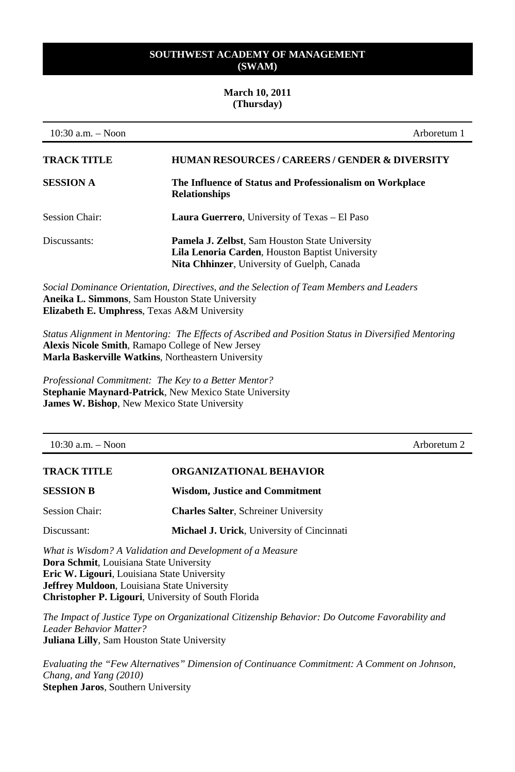#### **March 10, 2011 (Thursday)**

| $10:30$ a.m. $-$ Noon | Arboretum 1                                                                                                                                             |
|-----------------------|---------------------------------------------------------------------------------------------------------------------------------------------------------|
| TRACK TITLE           | <b>HUMAN RESOURCES / CAREERS / GENDER &amp; DIVERSITY</b>                                                                                               |
| <b>SESSION A</b>      | The Influence of Status and Professionalism on Workplace<br><b>Relationships</b>                                                                        |
| <b>Session Chair:</b> | <b>Laura Guerrero, University of Texas – El Paso</b>                                                                                                    |
| Discussants:          | <b>Pamela J. Zelbst, Sam Houston State University</b><br>Lila Lenoria Carden, Houston Baptist University<br>Nita Chhinzer, University of Guelph, Canada |
|                       |                                                                                                                                                         |

*Social Dominance Orientation, Directives, and the Selection of Team Members and Leaders* **Aneika L. Simmons**, Sam Houston State University **Elizabeth E. Umphress**, Texas A&M University

*Status Alignment in Mentoring: The Effects of Ascribed and Position Status in Diversified Mentoring* **Alexis Nicole Smith**, Ramapo College of New Jersey **Marla Baskerville Watkins**, Northeastern University

*Professional Commitment: The Key to a Better Mentor?* **Stephanie Maynard-Patrick**, New Mexico State University **James W. Bishop**, New Mexico State University

10:30 a.m. – Noon Arboretum 2

# **TRACK TITLE ORGANIZATIONAL BEHAVIOR SESSION B Wisdom, Justice and Commitment** Session Chair: **Charles Salter**, Schreiner University Discussant: **Michael J. Urick**, University of Cincinnati

*What is Wisdom? A Validation and Development of a Measure*  **Dora Schmit**, Louisiana State University **Eric W. Ligouri**, Louisiana State University **Jeffrey Muldoon**, Louisiana State University **Christopher P. Ligouri**, University of South Florida

*The Impact of Justice Type on Organizational Citizenship Behavior: Do Outcome Favorability and Leader Behavior Matter?* **Juliana Lilly**, Sam Houston State University

*Evaluating the "Few Alternatives" Dimension of Continuance Commitment: A Comment on Johnson, Chang, and Yang (2010)* **Stephen Jaros**, Southern University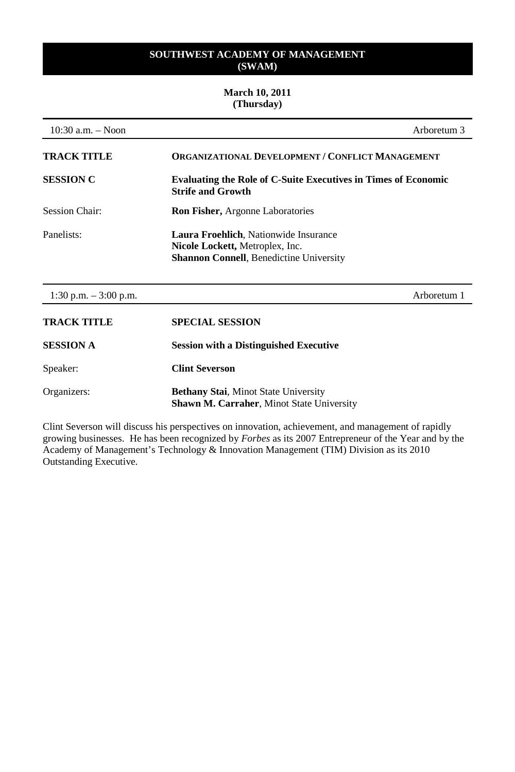## **March 10, 2011 (Thursday)**

| $10:30$ a.m. $-$ Noon  | Arboretum 3                                                                                                                |
|------------------------|----------------------------------------------------------------------------------------------------------------------------|
| <b>TRACK TITLE</b>     | <b>ORGANIZATIONAL DEVELOPMENT / CONFLICT MANAGEMENT</b>                                                                    |
| <b>SESSION C</b>       | <b>Evaluating the Role of C-Suite Executives in Times of Economic</b><br><b>Strife and Growth</b>                          |
| <b>Session Chair:</b>  | <b>Ron Fisher, Argonne Laboratories</b>                                                                                    |
| Panelists:             | Laura Froehlich, Nationwide Insurance<br>Nicole Lockett, Metroplex, Inc.<br><b>Shannon Connell, Benedictine University</b> |
| 1:30 p.m. $-3:00$ p.m. | Arboretum 1                                                                                                                |
| <b>TRACK TITLE</b>     | <b>SPECIAL SESSION</b>                                                                                                     |
| <b>SESSION A</b>       | <b>Session with a Distinguished Executive</b>                                                                              |
| Speaker:               | <b>Clint Severson</b>                                                                                                      |
| Organizers:            | <b>Bethany Stai, Minot State University</b><br><b>Shawn M. Carraher, Minot State University</b>                            |

Clint Severson will discuss his perspectives on innovation, achievement, and management of rapidly growing businesses. He has been recognized by *Forbes* as its 2007 Entrepreneur of the Year and by the Academy of Management's Technology & Innovation Management (TIM) Division as its 2010 Outstanding Executive.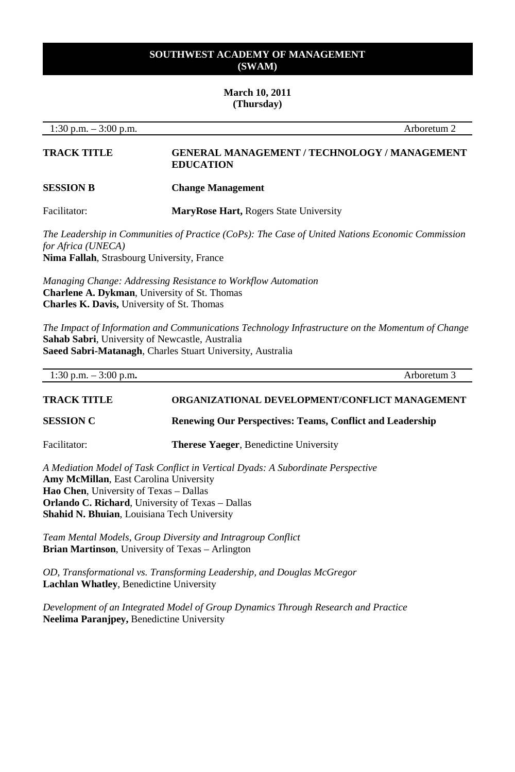#### **March 10, 2011 (Thursday)**

1:30 p.m. – 3:00 p.m. Arboretum 2

## **TRACK TITLE GENERAL MANAGEMENT / TECHNOLOGY / MANAGEMENT EDUCATION**

#### **SESSION B Change Management**

Facilitator: **MaryRose Hart,** Rogers State University

*The Leadership in Communities of Practice (CoPs): The Case of United Nations Economic Commission for Africa (UNECA)*  **Nima Fallah**, Strasbourg University, France

*Managing Change: Addressing Resistance to Workflow Automation* **Charlene A. Dykman**, University of St. Thomas **Charles K. Davis,** University of St. Thomas

*The Impact of Information and Communications Technology Infrastructure on the Momentum of Change* **Sahab Sabri**, University of Newcastle, Australia **Saeed Sabri-Matanagh**, Charles Stuart University, Australia

| 1:30 p.m. $-3:00$ p.m. | Arboretum 3                                                      |
|------------------------|------------------------------------------------------------------|
| <b>TRACK TITLE</b>     | ORGANIZATIONAL DEVELOPMENT/CONFLICT MANAGEMENT                   |
| <b>SESSION C</b>       | <b>Renewing Our Perspectives: Teams, Conflict and Leadership</b> |

Facilitator: **Therese Yaeger**, Benedictine University

*A Mediation Model of Task Conflict in Vertical Dyads: A Subordinate Perspective* **Amy McMillan**, East Carolina University **Hao Chen**, University of Texas – Dallas **Orlando C. Richard**, University of Texas – Dallas **Shahid N. Bhuian**, Louisiana Tech University

*Team Mental Models, Group Diversity and Intragroup Conflict* **Brian Martinson**, University of Texas – Arlington

*OD, Transformational vs. Transforming Leadership, and Douglas McGregor* **Lachlan Whatley**, Benedictine University

*Development of an Integrated Model of Group Dynamics Through Research and Practice*  **Neelima Paranjpey,** Benedictine University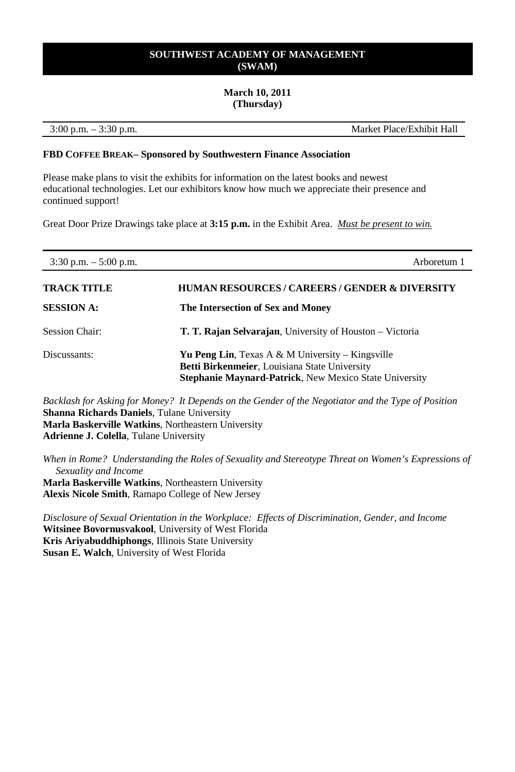#### **March 10, 2011 (Thursday)**

3:00 p.m. – 3:30 p.m. Market Place/Exhibit Hall

#### **FBD COFFEE BREAK– Sponsored by Southwestern Finance Association**

Please make plans to visit the exhibits for information on the latest books and newest educational technologies. Let our exhibitors know how much we appreciate their presence and continued support!

Great Door Prize Drawings take place at **3:15 p.m.** in the Exhibit Area. *Must be present to win.*

| $3:30$ p.m. $-5:00$ p.m. | Arboretum 1                                                                                                                                                        |
|--------------------------|--------------------------------------------------------------------------------------------------------------------------------------------------------------------|
| TRACK TITLE              | <b>HUMAN RESOURCES / CAREERS / GENDER &amp; DIVERSITY</b>                                                                                                          |
| <b>SESSION A:</b>        | The Intersection of Sex and Money                                                                                                                                  |
| <b>Session Chair:</b>    | <b>T. T. Rajan Selvarajan</b> , University of Houston – Victoria                                                                                                   |
| Discussants:             | <b>Yu Peng Lin.</b> Texas A & M University – Kingsville<br>Betti Birkenmeier, Louisiana State University<br>Stephanie Maynard-Patrick, New Mexico State University |

*Backlash for Asking for Money? It Depends on the Gender of the Negotiator and the Type of Position* **Shanna Richards Daniels**, Tulane University **Marla Baskerville Watkins**, Northeastern University **Adrienne J. Colella**, Tulane University

*When in Rome? Understanding the Roles of Sexuality and Stereotype Threat on Women's Expressions of Sexuality and Income* **Marla Baskerville Watkins**, Northeastern University **Alexis Nicole Smith**, Ramapo College of New Jersey

*Disclosure of Sexual Orientation in the Workplace: Effects of Discrimination, Gender, and Income* **Witsinee Bovornusvakool**, University of West Florida **Kris Ariyabuddhiphongs**, Illinois State University **Susan E. Walch**, University of West Florida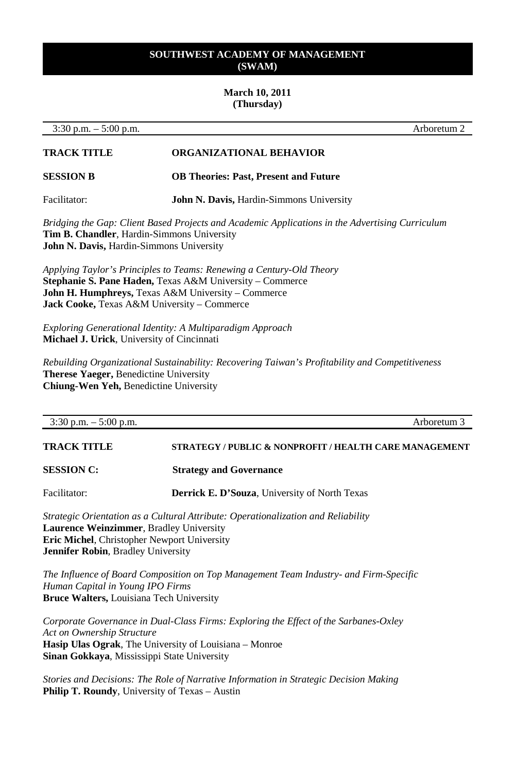#### **March 10, 2011 (Thursday)**

3:30 p.m. – 5:00 p.m. Arboretum 2

## **TRACK TITLE ORGANIZATIONAL BEHAVIOR**

**SESSION B OB Theories: Past, Present and Future**

Facilitator: **John N. Davis, Hardin-Simmons University** 

*Bridging the Gap: Client Based Projects and Academic Applications in the Advertising Curriculum* **Tim B. Chandler**, Hardin-Simmons University **John N. Davis,** Hardin-Simmons University

*Applying Taylor's Principles to Teams: Renewing a Century-Old Theory* **Stephanie S. Pane Haden,** Texas A&M University – Commerce **John H. Humphreys,** Texas A&M University – Commerce **Jack Cooke,** Texas A&M University – Commerce

*Exploring Generational Identity: A Multiparadigm Approach* **Michael J. Urick**, University of Cincinnati

*Rebuilding Organizational Sustainability: Recovering Taiwan's Profitability and Competitiveness* **Therese Yaeger,** Benedictine University **Chiung-Wen Yeh,** Benedictine University

| $3:30$ p.m. $-5:00$ p.m. | Arboretum 3                                            |
|--------------------------|--------------------------------------------------------|
| <b>TRACK TITLE</b>       | STRATEGY / PUBLIC & NONPROFIT / HEALTH CARE MANAGEMENT |
| <b>SESSION C:</b>        | <b>Strategy and Governance</b>                         |
| Facilitator:             | <b>Derrick E. D'Souza</b> , University of North Texas  |

*Strategic Orientation as a Cultural Attribute: Operationalization and Reliability* **Laurence Weinzimmer**, Bradley University **Eric Michel**, Christopher Newport University **Jennifer Robin**, Bradley University

*The Influence of Board Composition on Top Management Team Industry- and Firm-Specific Human Capital in Young IPO Firms* **Bruce Walters,** Louisiana Tech University

*Corporate Governance in Dual-Class Firms: Exploring the Effect of the Sarbanes-Oxley Act on Ownership Structure* **Hasip Ulas Ograk**, The University of Louisiana – Monroe **Sinan Gokkaya**, Mississippi State University

*Stories and Decisions: The Role of Narrative Information in Strategic Decision Making* **Philip T. Roundy**, University of Texas – Austin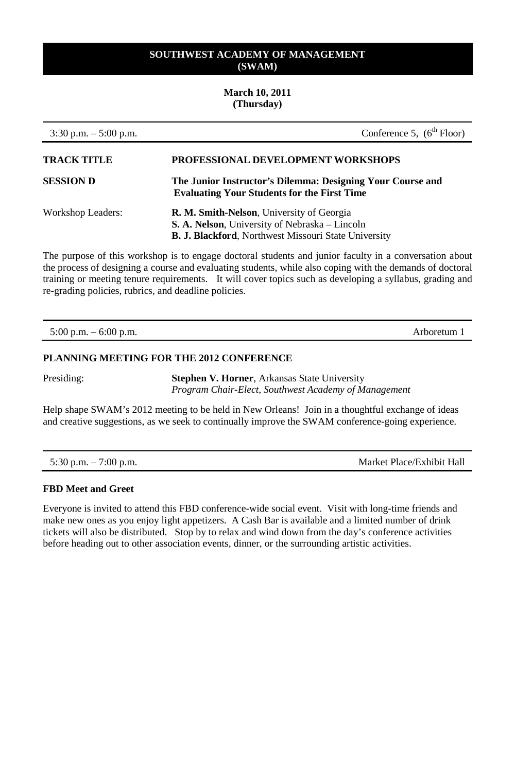#### **March 10, 2011 (Thursday)**

| $3:30$ p.m. $-5:00$ p.m. | Conference 5, $(6th Floor)$                                                                                                                                 |
|--------------------------|-------------------------------------------------------------------------------------------------------------------------------------------------------------|
| <b>TRACK TITLE</b>       | PROFESSIONAL DEVELOPMENT WORKSHOPS                                                                                                                          |
| <b>SESSION D</b>         | The Junior Instructor's Dilemma: Designing Your Course and<br><b>Evaluating Your Students for the First Time</b>                                            |
| <b>Workshop Leaders:</b> | R. M. Smith-Nelson, University of Georgia<br>S. A. Nelson, University of Nebraska – Lincoln<br><b>B. J. Blackford</b> , Northwest Missouri State University |

The purpose of this workshop is to engage doctoral students and junior faculty in a conversation about the process of designing a course and evaluating students, while also coping with the demands of doctoral training or meeting tenure requirements. It will cover topics such as developing a syllabus, grading and re-grading policies, rubrics, and deadline policies.

5:00 p.m. – 6:00 p.m. Arboretum 1

#### **PLANNING MEETING FOR THE 2012 CONFERENCE**

Presiding: **Stephen V. Horner**, Arkansas State University *Program Chair-Elect, Southwest Academy of Management*

Help shape SWAM's 2012 meeting to be held in New Orleans! Join in a thoughtful exchange of ideas and creative suggestions, as we seek to continually improve the SWAM conference-going experience.

5:30 p.m. – 7:00 p.m. Market Place/Exhibit Hall

#### **FBD Meet and Greet**

Everyone is invited to attend this FBD conference-wide social event. Visit with long-time friends and make new ones as you enjoy light appetizers. A Cash Bar is available and a limited number of drink tickets will also be distributed. Stop by to relax and wind down from the day's conference activities before heading out to other association events, dinner, or the surrounding artistic activities.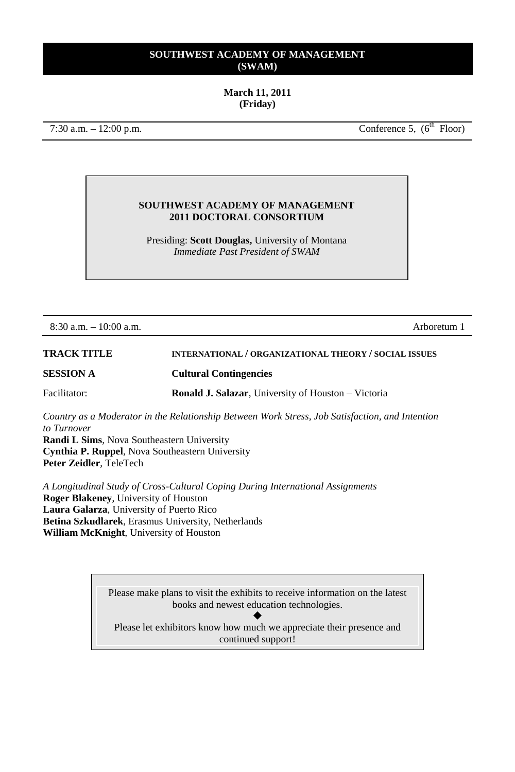## **March 11, 2011 (Friday)**

 $7:30$  a.m.  $-12:00$  p.m. Conference 5, ( $6<sup>th</sup>$  Floor)

#### **SOUTHWEST ACADEMY OF MANAGEMENT 2011 DOCTORAL CONSORTIUM**

Presiding: **Scott Douglas,** University of Montana *Immediate Past President of SWAM*

8:30 a.m. – 10:00 a.m. Arboretum 1

**TRACK TITLE INTERNATIONAL / ORGANIZATIONAL THEORY / SOCIAL ISSUES SESSION A Cultural Contingencies** Facilitator: **Ronald J. Salazar**, University of Houston – Victoria

*Country as a Moderator in the Relationship Between Work Stress, Job Satisfaction, and Intention to Turnover*

**Randi L Sims**, Nova Southeastern University **Cynthia P. Ruppel**, Nova Southeastern University **Peter Zeidler**, TeleTech

*A Longitudinal Study of Cross-Cultural Coping During International Assignments* **Roger Blakeney**, University of Houston **Laura Galarza**, University of Puerto Rico **Betina Szkudlarek**, Erasmus University, Netherlands **William McKnight**, University of Houston

> Please make plans to visit the exhibits to receive information on the latest books and newest education technologies.

 $\blacklozenge$ Please let exhibitors know how much we appreciate their presence and continued support!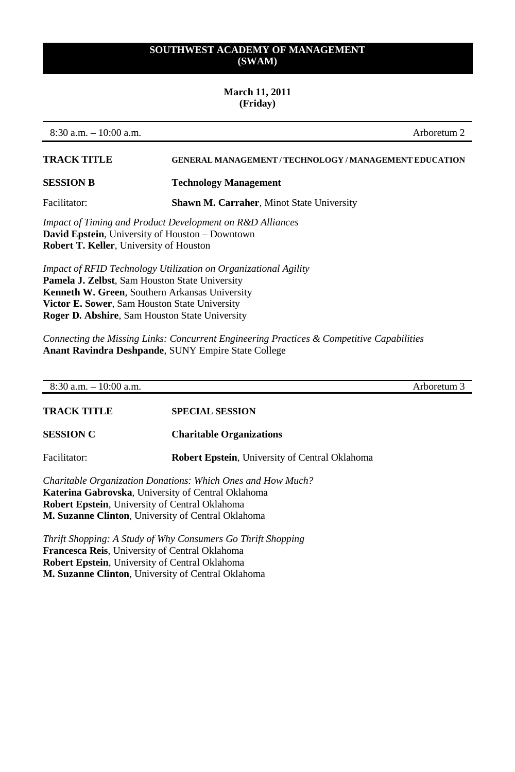## **March 11, 2011 (Friday)**

8:30 a.m. – 10:00 a.m. Arboretum 2

| <b>TRACK TITLE</b>                                        | <b>GENERAL MANAGEMENT / TECHNOLOGY / MANAGEMENT EDUCATION</b> |
|-----------------------------------------------------------|---------------------------------------------------------------|
| <b>SESSION B</b>                                          | <b>Technology Management</b>                                  |
| Facilitator:                                              | <b>Shawn M. Carraher, Minot State University</b>              |
| Impact of Timing and Product Development on R&D Alliances |                                                               |

**David Epstein**, University of Houston – Downtown **Robert T. Keller**, University of Houston

*Impact of RFID Technology Utilization on Organizational Agility* **Pamela J. Zelbst**, Sam Houston State University **Kenneth W. Green**, Southern Arkansas University **Victor E. Sower**, Sam Houston State University **Roger D. Abshire**, Sam Houston State University

*Connecting the Missing Links: Concurrent Engineering Practices & Competitive Capabilities* **Anant Ravindra Deshpande**, SUNY Empire State College

| $10:00$ a.m.<br>$8:30$ a.m.<br>$\overline{\phantom{a}}$ | Arboretum 5 |
|---------------------------------------------------------|-------------|
|                                                         |             |

**TRACK TITLE SPECIAL SESSION**

**SESSION C Charitable Organizations**

Facilitator: **Robert Epstein**, University of Central Oklahoma

*Charitable Organization Donations: Which Ones and How Much?* **Katerina Gabrovska**, University of Central Oklahoma **Robert Epstein**, University of Central Oklahoma **M. Suzanne Clinton**, University of Central Oklahoma

*Thrift Shopping: A Study of Why Consumers Go Thrift Shopping* **Francesca Reis**, University of Central Oklahoma **Robert Epstein**, University of Central Oklahoma **M. Suzanne Clinton**, University of Central Oklahoma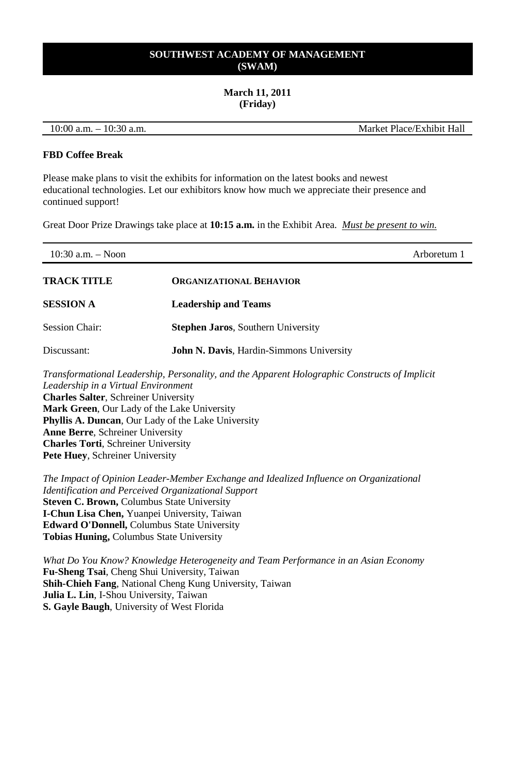#### **March 11, 2011 (Friday)**

10:00 a.m. – 10:30 a.m. Market Place/Exhibit Hall

#### **FBD Coffee Break**

Please make plans to visit the exhibits for information on the latest books and newest educational technologies. Let our exhibitors know how much we appreciate their presence and continued support!

Great Door Prize Drawings take place at **10:15 a.m.** in the Exhibit Area. *Must be present to win.*

| 10:30 a.m. $-$ Noon                         |                                                                                                                                               | Arboretum 1 |
|---------------------------------------------|-----------------------------------------------------------------------------------------------------------------------------------------------|-------------|
| <b>TRACK TITLE</b>                          | <b>ORGANIZATIONAL BEHAVIOR</b>                                                                                                                |             |
| <b>SESSION A</b>                            | <b>Leadership and Teams</b>                                                                                                                   |             |
| <b>Session Chair:</b>                       | <b>Stephen Jaros, Southern University</b>                                                                                                     |             |
| Discussant:                                 | <b>John N. Davis, Hardin-Simmons University</b>                                                                                               |             |
| Leadership in a Virtual Environment         | Transformational Leadership, Personality, and the Apparent Holographic Constructs of Implicit                                                 |             |
| <b>Charles Salter, Schreiner University</b> |                                                                                                                                               |             |
| Mark Green, Our Lady of the Lake University |                                                                                                                                               |             |
|                                             | <b>Phyllis A. Duncan, Our Lady of the Lake University</b>                                                                                     |             |
| <b>Anne Berre, Schreiner University</b>     |                                                                                                                                               |             |
| <b>Charles Torti, Schreiner University</b>  |                                                                                                                                               |             |
| Pete Huey, Schreiner University             |                                                                                                                                               |             |
|                                             | The Impact of Opinion Leader-Member Exchange and Idealized Influence on Organizational<br>Identification and Perceived Organizational Support |             |

**Steven C. Brown,** Columbus State University **I-Chun Lisa Chen,** Yuanpei University, Taiwan **Edward O'Donnell,** Columbus State University **Tobias Huning,** Columbus State University

*What Do You Know? Knowledge Heterogeneity and Team Performance in an Asian Economy* **Fu-Sheng Tsai**, Cheng Shui University, Taiwan **Shih-Chieh Fang**, National Cheng Kung University, Taiwan **Julia L. Lin**, I-Shou University, Taiwan **S. Gayle Baugh**, University of West Florida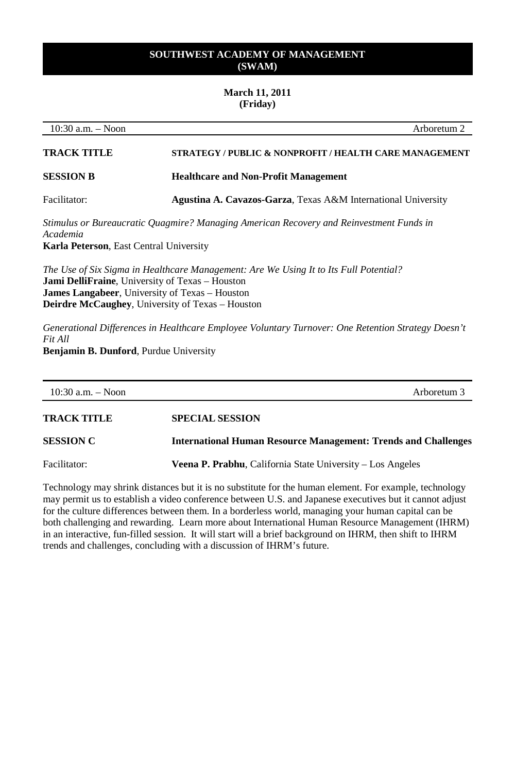#### **March 11, 2011 (Friday)**

10:30 a.m. – Noon Arboretum 2 **TRACK TITLE STRATEGY / PUBLIC & NONPROFIT / HEALTH CARE MANAGEMENT SESSION B Healthcare and Non-Profit Management** Facilitator: **Agustina A. Cavazos-Garza**, Texas A&M International University *Stimulus or Bureaucratic Quagmire? Managing American Recovery and Reinvestment Funds in Academia* **Karla Peterson**, East Central University *The Use of Six Sigma in Healthcare Management: Are We Using It to Its Full Potential?* **Jami DelliFraine**, University of Texas – Houston **James Langabeer**, University of Texas – Houston **Deirdre McCaughey**, University of Texas – Houston *Generational Differences in Healthcare Employee Voluntary Turnover: One Retention Strategy Doesn't Fit All* **Benjamin B. Dunford**, Purdue University

| 10:30 a.m. $-$ Noon | Arboretum 3                                                           |
|---------------------|-----------------------------------------------------------------------|
| <b>TRACK TITLE</b>  | <b>SPECIAL SESSION</b>                                                |
| <b>SESSION C</b>    | <b>International Human Resource Management: Trends and Challenges</b> |
| Facilitator:        | <b>Veena P. Prabhu.</b> California State University – Los Angeles     |

Technology may shrink distances but it is no substitute for the human element. For example, technology may permit us to establish a video conference between U.S. and Japanese executives but it cannot adjust for the culture differences between them. In a borderless world, managing your human capital can be both challenging and rewarding. Learn more about International Human Resource Management (IHRM) in an interactive, fun-filled session. It will start will a brief background on IHRM, then shift to IHRM trends and challenges, concluding with a discussion of IHRM's future.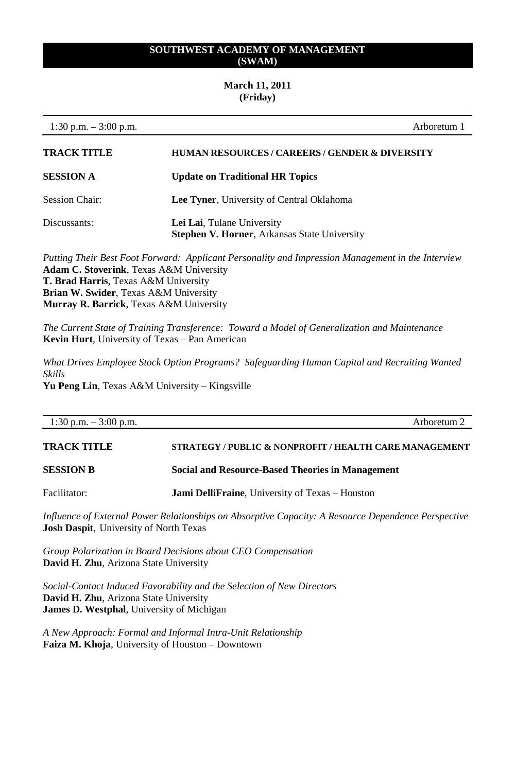#### **March 11, 2011 (Friday)**

| 1:30 p.m. $-3:00$ p.m. | Arboretum 1                                                                       |
|------------------------|-----------------------------------------------------------------------------------|
| <b>TRACK TITLE</b>     | <b>HUMAN RESOURCES/CAREERS/GENDER &amp; DIVERSITY</b>                             |
| <b>SESSION A</b>       | <b>Update on Traditional HR Topics</b>                                            |
| Session Chair:         | Lee Tyner, University of Central Oklahoma                                         |
| Discussants:           | Lei Lai, Tulane University<br><b>Stephen V. Horner, Arkansas State University</b> |

*Putting Their Best Foot Forward: Applicant Personality and Impression Management in the Interview* **Adam C. Stoverink**, Texas A&M University **T. Brad Harris**, Texas A&M University **Brian W. Swider**, Texas A&M University **Murray R. Barrick**, Texas A&M University

*The Current State of Training Transference: Toward a Model of Generalization and Maintenance* **Kevin Hurt**, University of Texas – Pan American

*What Drives Employee Stock Option Programs? Safeguarding Human Capital and Recruiting Wanted Skills* **Yu Peng Lin**, Texas A&M University – Kingsville

| 1:30 p.m. $-3:00$ p.m. | Arboretum 2                                             |
|------------------------|---------------------------------------------------------|
| <b>TRACK TITLE</b>     | STRATEGY / PUBLIC & NONPROFIT / HEALTH CARE MANAGEMENT  |
| <b>SESSION B</b>       | <b>Social and Resource-Based Theories in Management</b> |
| Facilitator:           | <b>Jami DelliFraine</b> , University of Texas – Houston |

*Influence of External Power Relationships on Absorptive Capacity: A Resource Dependence Perspective* **Josh Daspit***,* University of North Texas

*Group Polarization in Board Decisions about CEO Compensation* **David H. Zhu**, Arizona State University

*Social-Contact Induced Favorability and the Selection of New Directors* **David H. Zhu**, Arizona State University **James D. Westphal**, University of Michigan

*A New Approach: Formal and Informal Intra-Unit Relationship* **Faiza M. Khoja**, University of Houston – Downtown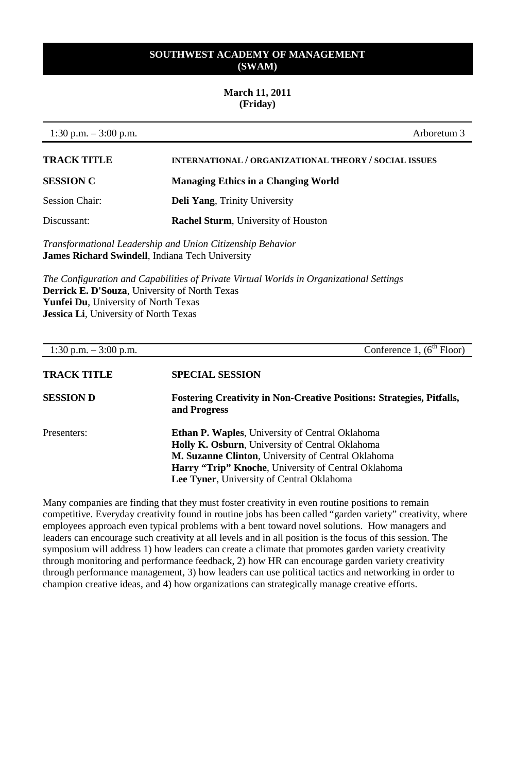## **March 11, 2011 (Friday)**

1:30 p.m. – 3:00 p.m. Arboretum 3

| <b>TRACK TITLE</b> | INTERNATIONAL / ORGANIZATIONAL THEORY / SOCIAL ISSUES |
|--------------------|-------------------------------------------------------|
| <b>SESSION C</b>   | <b>Managing Ethics in a Changing World</b>            |
| Session Chair:     | <b>Deli Yang, Trinity University</b>                  |
| Discussant:        | <b>Rachel Sturm, University of Houston</b>            |

*Transformational Leadership and Union Citizenship Behavior*  **James Richard Swindell**, Indiana Tech University

*The Configuration and Capabilities of Private Virtual Worlds in Organizational Settings*  **Derrick E. D'Souza**, University of North Texas **Yunfei Du**, University of North Texas **Jessica Li**, University of North Texas

| 1:30 p.m. $-3:00$ p.m. | Conference 1, $(6^{th}$ Floor)                                                                                                                                                                                                                                                     |
|------------------------|------------------------------------------------------------------------------------------------------------------------------------------------------------------------------------------------------------------------------------------------------------------------------------|
| <b>TRACK TITLE</b>     | <b>SPECIAL SESSION</b>                                                                                                                                                                                                                                                             |
| <b>SESSION D</b>       | <b>Fostering Creativity in Non-Creative Positions: Strategies, Pitfalls,</b><br>and Progress                                                                                                                                                                                       |
| Presenters:            | <b>Ethan P. Waples, University of Central Oklahoma</b><br><b>Holly K. Osburn</b> , University of Central Oklahoma<br>M. Suzanne Clinton, University of Central Oklahoma<br><b>Harry "Trip" Knoche, University of Central Oklahoma</b><br>Lee Tyner, University of Central Oklahoma |

Many companies are finding that they must foster creativity in even routine positions to remain competitive. Everyday creativity found in routine jobs has been called "garden variety" creativity, where employees approach even typical problems with a bent toward novel solutions. How managers and leaders can encourage such creativity at all levels and in all position is the focus of this session. The symposium will address 1) how leaders can create a climate that promotes garden variety creativity through monitoring and performance feedback, 2) how HR can encourage garden variety creativity through performance management, 3) how leaders can use political tactics and networking in order to champion creative ideas, and 4) how organizations can strategically manage creative efforts.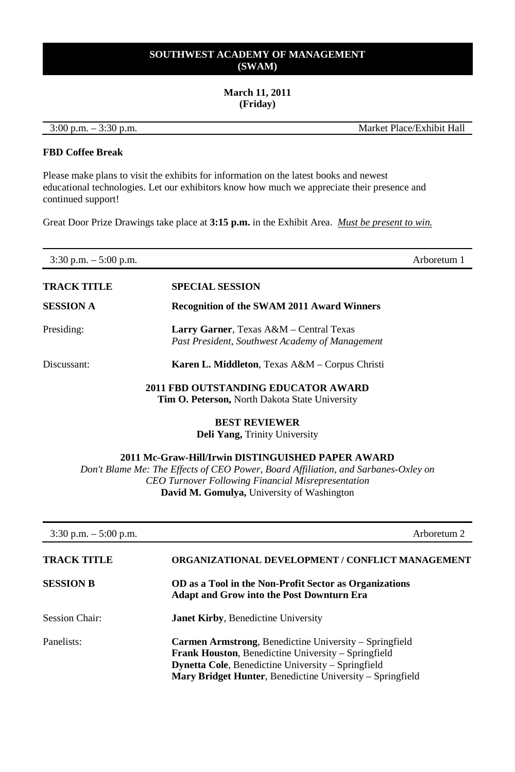## **March 11, 2011 (Friday)**

3:00 p.m. – 3:30 p.m. Market Place/Exhibit Hall

## **FBD Coffee Break**

Please make plans to visit the exhibits for information on the latest books and newest educational technologies. Let our exhibitors know how much we appreciate their presence and continued support!

Great Door Prize Drawings take place at **3:15 p.m.** in the Exhibit Area. *Must be present to win.*

| $3:30$ p.m. $-5:00$ p.m. |                                                                                              | Arboretum 1 |
|--------------------------|----------------------------------------------------------------------------------------------|-------------|
| TRACK TITLE              | <b>SPECIAL SESSION</b>                                                                       |             |
| SESSION A                | <b>Recognition of the SWAM 2011 Award Winners</b>                                            |             |
| Presiding:               | Larry Garner, Texas A&M - Central Texas<br>Past President, Southwest Academy of Management   |             |
| Discussant:              | <b>Karen L. Middleton</b> , Texas A&M – Corpus Christi                                       |             |
|                          | 2011 FBD OUTSTANDING EDUCATOR AWARD<br><b>Tim O. Peterson, North Dakota State University</b> |             |
|                          | <b>BEST REVIEWER</b><br><b>Deli Yang, Trinity University</b>                                 |             |

**2011 Mc-Graw-Hill/Irwin DISTINGUISHED PAPER AWARD**

*Don't Blame Me: The Effects of CEO Power, Board Affiliation, and Sarbanes-Oxley on CEO Turnover Following Financial Misrepresentation* **David M. Gomulya,** University of Washington

| $3:30$ p.m. $-5:00$ p.m. | Arboretum 2                                                                                                                                                                                                                                           |
|--------------------------|-------------------------------------------------------------------------------------------------------------------------------------------------------------------------------------------------------------------------------------------------------|
| <b>TRACK TITLE</b>       | <b>ORGANIZATIONAL DEVELOPMENT / CONFLICT MANAGEMENT</b>                                                                                                                                                                                               |
| <b>SESSION B</b>         | OD as a Tool in the Non-Profit Sector as Organizations<br><b>Adapt and Grow into the Post Downturn Era</b>                                                                                                                                            |
| <b>Session Chair:</b>    | <b>Janet Kirby, Benedictine University</b>                                                                                                                                                                                                            |
| Panelists:               | <b>Carmen Armstrong, Benedictine University – Springfield</b><br><b>Frank Houston, Benedictine University – Springfield</b><br><b>Dynetta Cole, Benedictine University – Springfield</b><br>Mary Bridget Hunter, Benedictine University – Springfield |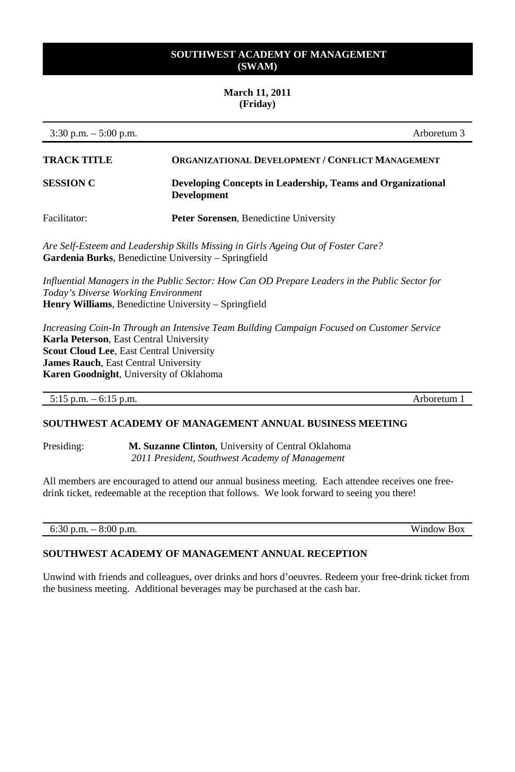#### **March 11, 2011 (Friday)**

3:30 p.m. – 5:00 p.m. Arboretum 3 **TRACK TITLE ORGANIZATIONAL DEVELOPMENT / CONFLICT MANAGEMENT SESSION C Developing Concepts in Leadership, Teams and Organizational Development** Facilitator: **Peter Sorensen**, Benedictine University *Are Self-Esteem and Leadership Skills Missing in Girls Ageing Out of Foster Care?* **Gardenia Burks**, Benedictine University – Springfield *Influential Managers in the Public Sector: How Can OD Prepare Leaders in the Public Sector for Today's Diverse Working Environment* **Henry Williams**, Benedictine University – Springfield *Increasing Coin-In Through an Intensive Team Building Campaign Focused on Customer Service*

**Karla Peterson**, East Central University **Scout Cloud Lee**, East Central University **James Rauch**, East Central University **Karen Goodnight**, University of Oklahoma

5:15 p.m. – 6:15 p.m. Arboretum 1

## **SOUTHWEST ACADEMY OF MANAGEMENT ANNUAL BUSINESS MEETING**

Presiding: **M. Suzanne Clinton**, University of Central Oklahoma *2011 President, Southwest Academy of Management*

All members are encouraged to attend our annual business meeting. Each attendee receives one freedrink ticket, redeemable at the reception that follows. We look forward to seeing you there!

6:30 p.m. – 8:00 p.m. Window Box

## **SOUTHWEST ACADEMY OF MANAGEMENT ANNUAL RECEPTION**

Unwind with friends and colleagues, over drinks and hors d'oeuvres. Redeem your free-drink ticket from the business meeting. Additional beverages may be purchased at the cash bar.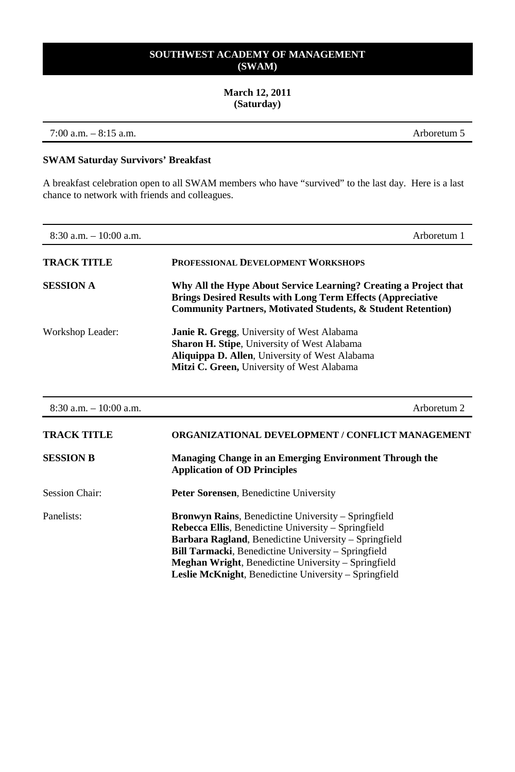#### **March 12, 2011 (Saturday)**

7:00 a.m. – 8:15 a.m. Arboretum 5

## **SWAM Saturday Survivors' Breakfast**

A breakfast celebration open to all SWAM members who have "survived" to the last day. Here is a last chance to network with friends and colleagues.

| $8:30$ a.m. $-10:00$ a.m. | Arboretum 1                                                                                                                                                                                                                                                                                                                                                             |
|---------------------------|-------------------------------------------------------------------------------------------------------------------------------------------------------------------------------------------------------------------------------------------------------------------------------------------------------------------------------------------------------------------------|
| <b>TRACK TITLE</b>        | PROFESSIONAL DEVELOPMENT WORKSHOPS                                                                                                                                                                                                                                                                                                                                      |
| <b>SESSION A</b>          | Why All the Hype About Service Learning? Creating a Project that<br><b>Brings Desired Results with Long Term Effects (Appreciative</b><br><b>Community Partners, Motivated Students, &amp; Student Retention</b> )                                                                                                                                                      |
| Workshop Leader:          | <b>Janie R. Gregg, University of West Alabama</b><br><b>Sharon H. Stipe, University of West Alabama</b><br><b>Aliquippa D. Allen, University of West Alabama</b><br>Mitzi C. Green, University of West Alabama                                                                                                                                                          |
| $8:30$ a.m. $-10:00$ a.m. | Arboretum 2                                                                                                                                                                                                                                                                                                                                                             |
| <b>TRACK TITLE</b>        | ORGANIZATIONAL DEVELOPMENT / CONFLICT MANAGEMENT                                                                                                                                                                                                                                                                                                                        |
| <b>SESSION B</b>          | Managing Change in an Emerging Environment Through the<br><b>Application of OD Principles</b>                                                                                                                                                                                                                                                                           |
| <b>Session Chair:</b>     | Peter Sorensen, Benedictine University                                                                                                                                                                                                                                                                                                                                  |
| Panelists:                | <b>Bronwyn Rains, Benedictine University – Springfield</b><br><b>Rebecca Ellis, Benedictine University – Springfield</b><br>Barbara Ragland, Benedictine University - Springfield<br><b>Bill Tarmacki</b> , Benedictine University – Springfield<br>Meghan Wright, Benedictine University - Springfield<br><b>Leslie McKnight, Benedictine University – Springfield</b> |